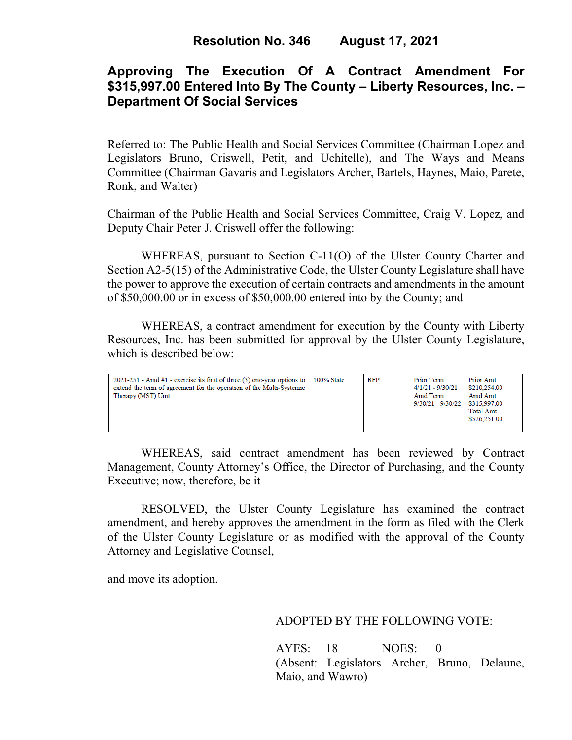## **Approving The Execution Of A Contract Amendment For \$315,997.00 Entered Into By The County – Liberty Resources, Inc. – Department Of Social Services**

Referred to: The Public Health and Social Services Committee (Chairman Lopez and Legislators Bruno, Criswell, Petit, and Uchitelle), and The Ways and Means Committee (Chairman Gavaris and Legislators Archer, Bartels, Haynes, Maio, Parete, Ronk, and Walter)

Chairman of the Public Health and Social Services Committee, Craig V. Lopez, and Deputy Chair Peter J. Criswell offer the following:

WHEREAS, pursuant to Section C-11(O) of the Ulster County Charter and Section A2-5(15) of the Administrative Code, the Ulster County Legislature shall have the power to approve the execution of certain contracts and amendments in the amount of \$50,000.00 or in excess of \$50,000.00 entered into by the County; and

WHEREAS, a contract amendment for execution by the County with Liberty Resources, Inc. has been submitted for approval by the Ulster County Legislature, which is described below:

| $2021-251$ - Amd #1 - exercise its first of three (3) one-year options to   100% State<br>extend the term of agreement for the operation of the Multi-Systemic<br>Therapy (MST) Unit |  | RFP | Prior Term<br>$4/1/21 - 9/30/21$<br>Amd Term<br>9/30/21 - 9/30/22 \$315,997.00 | Prior Amt<br>\$210,254.00<br>Amd Amt<br><b>Total Amt</b><br>\$526,251.00 |
|--------------------------------------------------------------------------------------------------------------------------------------------------------------------------------------|--|-----|--------------------------------------------------------------------------------|--------------------------------------------------------------------------|
|--------------------------------------------------------------------------------------------------------------------------------------------------------------------------------------|--|-----|--------------------------------------------------------------------------------|--------------------------------------------------------------------------|

WHEREAS, said contract amendment has been reviewed by Contract Management, County Attorney's Office, the Director of Purchasing, and the County Executive; now, therefore, be it

RESOLVED, the Ulster County Legislature has examined the contract amendment, and hereby approves the amendment in the form as filed with the Clerk of the Ulster County Legislature or as modified with the approval of the County Attorney and Legislative Counsel,

and move its adoption.

ADOPTED BY THE FOLLOWING VOTE:

AYES: 18 NOES: 0 (Absent: Legislators Archer, Bruno, Delaune, Maio, and Wawro)